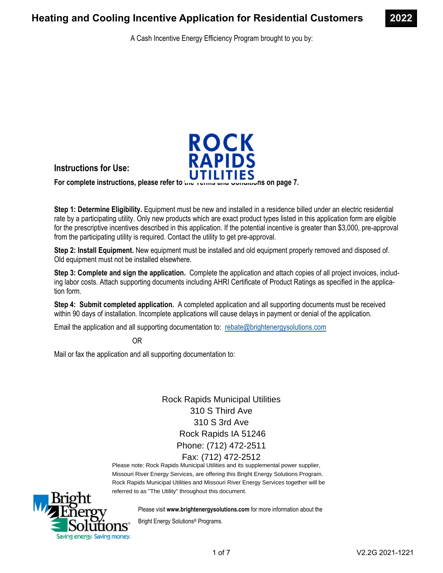

A Cash Incentive Energy Efficiency Program brought to you by:



**Instructions for Use:** 

For complete instructions, please refer to the Terms and Conditions on page 7.

**Step 1: Determine Eligibility.** Equipment must be new and installed in a residence billed under an electric residential rate by a participating utility. Only new products which are exact product types listed in this application form are eligible for the prescriptive incentives described in this application. If the potential incentive is greater than \$3,000, pre-approval from the participating utility is required. Contact the utility to get pre-approval.

**Step 2: Install Equipment.** New equipment must be installed and old equipment properly removed and disposed of. Old equipment must not be installed elsewhere.

**Step 3: Complete and sign the application.** Complete the application and attach copies of all project invoices, including labor costs. Attach supporting documents including AHRI Certificate of Product Ratings as specified in the application form.

**Step 4: Submit completed application.** A completed application and all supporting documents must be received within 90 days of installation. Incomplete applications will cause delays in payment or denial of the application.

Email the application and all supporting documentation to: rebate@brightenergysolutions.com

OR

Mail or fax the application and all supporting documentation to:

Rock Rapids Municipal Utilities 310 S Third Ave 310 S 3rd Ave Rock Rapids IA 51246 Phone: (712) 472-2511 Fax: (712) 472-2512

Please note: Rock Rapids Municipal Utilities and its supplemental power supplier, Missouri River Energy Services, are offering this Bright Energy Solutions Program. Rock Rapids Municipal Utilities and Missouri River Energy Services together will be referred to as "The Utility" throughout this document.



Please visit **www.brightenergysolutions.com** for more information about the

Bright Energy Solutions® Programs.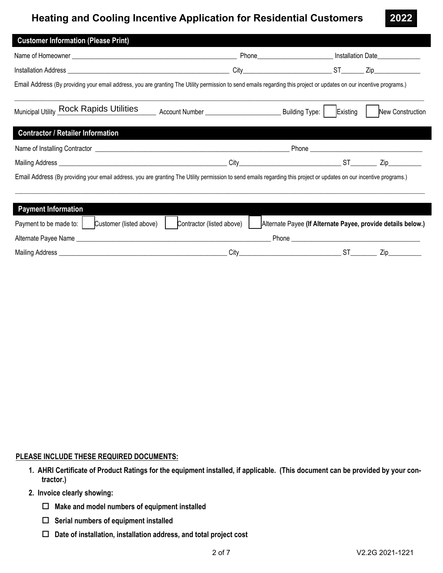|                                                                                                                                                                      |                                                                                                                                                                      | Phone________________________________ Installation Date_________________________ |                  |
|----------------------------------------------------------------------------------------------------------------------------------------------------------------------|----------------------------------------------------------------------------------------------------------------------------------------------------------------------|----------------------------------------------------------------------------------|------------------|
|                                                                                                                                                                      |                                                                                                                                                                      | City ST Zip                                                                      |                  |
| Email Address (By providing your email address, you are granting The Utility permission to send emails regarding this project or updates on our incentive programs.) |                                                                                                                                                                      |                                                                                  |                  |
| Municipal Utility Rock Rapids Utilities                                                                                                                              |                                                                                                                                                                      |                                                                                  | New Construction |
| <b>Contractor / Retailer Information</b>                                                                                                                             |                                                                                                                                                                      |                                                                                  |                  |
|                                                                                                                                                                      |                                                                                                                                                                      |                                                                                  |                  |
|                                                                                                                                                                      |                                                                                                                                                                      |                                                                                  |                  |
|                                                                                                                                                                      | Email Address (By providing your email address, you are granting The Utility permission to send emails regarding this project or updates on our incentive programs.) |                                                                                  |                  |

| Payment to be made to: | Customer (listed above) | Contractor (listed above) |       | Alternate Payee (If Alternate Payee, provide details below.) |  |
|------------------------|-------------------------|---------------------------|-------|--------------------------------------------------------------|--|
| Alternate Payee Name   |                         |                           | Phone |                                                              |  |
| Mailing Address        |                         | Citv                      |       |                                                              |  |

## **PLEASE INCLUDE THESE REQUIRED DOCUMENTS:**

- **1. AHRI Certificate of Product Ratings for the equipment installed, if applicable. (This document can be provided by your contractor.)**
- **2. Invoice clearly showing:** 
	- **Make and model numbers of equipment installed**
	- **Serial numbers of equipment installed**
	- **Date of installation, installation address, and total project cost**

**2022**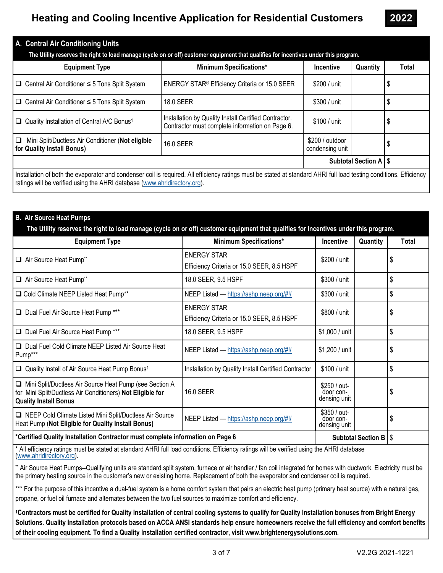| A. Central Air Conditioning Units                                                                                                                                                                                                                |                                                                                                          |                                    |                           |       |  |  |
|--------------------------------------------------------------------------------------------------------------------------------------------------------------------------------------------------------------------------------------------------|----------------------------------------------------------------------------------------------------------|------------------------------------|---------------------------|-------|--|--|
| The Utility reserves the right to load manage (cycle on or off) customer equipment that qualifies for incentives under this program.                                                                                                             |                                                                                                          |                                    |                           |       |  |  |
| <b>Equipment Type</b>                                                                                                                                                                                                                            | <b>Minimum Specifications*</b>                                                                           | <b>Incentive</b>                   | Quantity                  | Total |  |  |
| $\Box$ Central Air Conditioner $\leq$ 5 Tons Split System                                                                                                                                                                                        | ENERGY STAR® Efficiency Criteria or 15.0 SEER                                                            | \$200 / unit                       |                           |       |  |  |
| $\Box$ Central Air Conditioner $\leq$ 5 Tons Split System                                                                                                                                                                                        | 18.0 SEER                                                                                                | \$300 / unit                       |                           |       |  |  |
| Quality Installation of Central A/C Bonus <sup>1</sup>                                                                                                                                                                                           | Installation by Quality Install Certified Contractor.<br>Contractor must complete information on Page 6. | \$100 / unit                       |                           |       |  |  |
| Mini Split/Ductless Air Conditioner (Not eligible<br>❏<br>for Quality Install Bonus)                                                                                                                                                             | 16.0 SEER                                                                                                | \$200 / outdoor<br>condensing unit |                           |       |  |  |
|                                                                                                                                                                                                                                                  |                                                                                                          |                                    | <b>Subtotal Section A</b> | l \$  |  |  |
| Installation of both the evaporator and condenser coil is required. All efficiency ratings must be stated at standard AHRI full load testing conditions. Efficiency<br>ratings will be verified using the AHRI database (www.ahridirectory.org). |                                                                                                          |                                    |                           |       |  |  |

### **B. Air Source Heat Pumps**

| The Utility reserves the right to load manage (cycle on or off) customer equipment that qualifies for incentives under this program.                    |                                                                  |                                           |          |       |
|---------------------------------------------------------------------------------------------------------------------------------------------------------|------------------------------------------------------------------|-------------------------------------------|----------|-------|
| <b>Equipment Type</b>                                                                                                                                   | <b>Minimum Specifications*</b>                                   | <b>Incentive</b>                          | Quantity | Total |
| Air Source Heat Pump**                                                                                                                                  | <b>ENERGY STAR</b><br>Efficiency Criteria or 15.0 SEER, 8.5 HSPF | \$200 / unit                              |          | \$    |
| Air Source Heat Pump**                                                                                                                                  | 18.0 SEER, 9.5 HSPF                                              | \$300 / unit                              |          | \$    |
| □ Cold Climate NEEP Listed Heat Pump**                                                                                                                  | NEEP Listed - https://ashp.neep.org/#!/                          | \$300 / unit                              |          | \$    |
| Dual Fuel Air Source Heat Pump ***                                                                                                                      | <b>ENERGY STAR</b><br>Efficiency Criteria or 15.0 SEER, 8.5 HSPF | \$800 / unit                              |          | \$    |
| Dual Fuel Air Source Heat Pump ***                                                                                                                      | 18.0 SEER, 9.5 HSPF                                              | \$1,000 / unit                            |          | \$    |
| Dual Fuel Cold Climate NEEP Listed Air Source Heat<br>Pump***                                                                                           | NEEP Listed - https://ashp.neep.org/#!/                          | \$1,200 / unit                            |          | S     |
| Quality Install of Air Source Heat Pump Bonus <sup>1</sup>                                                                                              | Installation by Quality Install Certified Contractor             | \$100 / unit                              |          | \$    |
| □ Mini Split/Ductless Air Source Heat Pump (see Section A<br>for Mini Split/Ductless Air Conditioners) Not Eligible for<br><b>Quality Install Bonus</b> | 16.0 SEER                                                        | \$250 / out-<br>door con-<br>densing unit |          | \$    |
| □ NEEP Cold Climate Listed Mini Split/Ductless Air Source<br>Heat Pump (Not Eligible for Quality Install Bonus)                                         | NEEP Listed - https://ashp.neep.org/#!/                          | \$350 / out-<br>door con-<br>densing unit |          | \$    |
| *Certified Quality Installation Contractor must complete information on Page 6<br>Subtotal Section B   \$                                               |                                                                  |                                           |          |       |

\* All efficiency ratings must be stated at standard AHRI full load conditions. Efficiency ratings will be verified using the AHRI database (www.ahridirectory.org).

\*\* Air Source Heat Pumps--Qualifying units are standard split system, furnace or air handler / fan coil integrated for homes with ductwork. Electricity must be the primary heating source in the customer's new or existing home. Replacement of both the evaporator and condenser coil is required.

\*\*\* For the purpose of this incentive a dual-fuel system is a home comfort system that pairs an electric heat pump (primary heat source) with a natural gas, propane, or fuel oil furnace and alternates between the two fuel sources to maximize comfort and efficiency.

**1Contractors must be certified for Quality Installation of central cooling systems to qualify for Quality Installation bonuses from Bright Energy Solutions. Quality Installation protocols based on ACCA ANSI standards help ensure homeowners receive the full efficiency and comfort benefits of their cooling equipment. To find a Quality Installation certified contractor, visit www.brightenergysolutions.com.**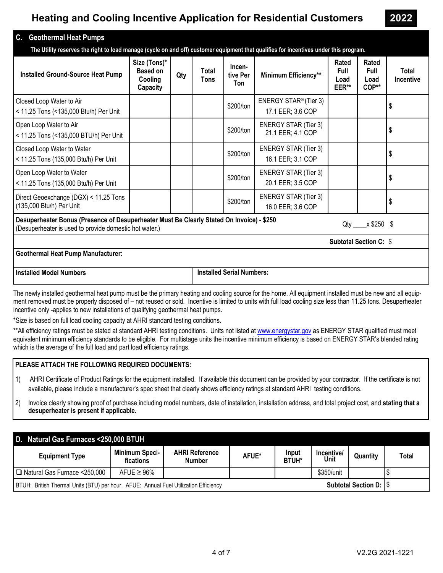**2022** 

### **C. Geothermal Heat Pumps**

 **The Utility reserves the right to load manage (cycle on and off) customer equipment that qualifies for incentives under this program.** 

| <b>Installed Ground-Source Heat Pump</b>                                                                                                                                            | Size (Tons)*<br><b>Based on</b><br>Cooling<br><b>Capacity</b> | Qty | Total<br>Tons | Incen-<br>tive Per<br>Ton | Minimum Efficiency**                                   | Rated<br><b>Full</b><br>Load<br>EER** | Rated<br><b>Full</b><br>Load<br>COP** | Total<br><b>Incentive</b> |  |  |
|-------------------------------------------------------------------------------------------------------------------------------------------------------------------------------------|---------------------------------------------------------------|-----|---------------|---------------------------|--------------------------------------------------------|---------------------------------------|---------------------------------------|---------------------------|--|--|
| Closed Loop Water to Air<br>< 11.25 Tons (<135,000 Btu/h) Per Unit                                                                                                                  |                                                               |     |               | \$200/ton                 | ENERGY STAR <sup>®</sup> (Tier 3)<br>17.1 EER; 3.6 COP |                                       |                                       | \$                        |  |  |
| Open Loop Water to Air<br>< 11.25 Tons (<135,000 BTU/h) Per Unit                                                                                                                    |                                                               |     |               | \$200/ton                 | <b>ENERGY STAR (Tier 3)</b><br>21.1 EER; 4.1 COP       |                                       |                                       | \$                        |  |  |
| Closed Loop Water to Water<br>< 11.25 Tons (135,000 Btu/h) Per Unit                                                                                                                 |                                                               |     |               | \$200/ton                 | <b>ENERGY STAR (Tier 3)</b><br>16.1 EER; 3.1 COP       |                                       |                                       | \$                        |  |  |
| Open Loop Water to Water<br>< 11.25 Tons (135,000 Btu/h) Per Unit                                                                                                                   |                                                               |     |               | \$200/ton                 | <b>ENERGY STAR (Tier 3)</b><br>20.1 EER; 3.5 COP       |                                       |                                       | \$                        |  |  |
| Direct Geoexchange (DGX) < 11.25 Tons<br>(135,000 Btu/h) Per Unit                                                                                                                   |                                                               |     |               | \$200/ton                 | <b>ENERGY STAR (Tier 3)</b><br>16.0 EER; 3.6 COP       |                                       |                                       | \$                        |  |  |
| Desuperheater Bonus (Presence of Desuperheater Must Be Clearly Stated On Invoice) - \$250<br>$Qty \times $250 \text{ } $$<br>(Desuperheater is used to provide domestic hot water.) |                                                               |     |               |                           |                                                        |                                       |                                       |                           |  |  |
|                                                                                                                                                                                     | <b>Subtotal Section C: \$</b>                                 |     |               |                           |                                                        |                                       |                                       |                           |  |  |
| <b>Geothermal Heat Pump Manufacturer:</b>                                                                                                                                           |                                                               |     |               |                           |                                                        |                                       |                                       |                           |  |  |

**Installed Model Numbers Installed Serial Numbers:** 

The newly installed geothermal heat pump must be the primary heating and cooling source for the home. All equipment installed must be new and all equipment removed must be properly disposed of – not reused or sold. Incentive is limited to units with full load cooling size less than 11.25 tons. Desuperheater incentive only -applies to new installations of qualifying geothermal heat pumps.

\*Size is based on full load cooling capacity at AHRI standard testing conditions.

\*\*All efficiency ratings must be stated at standard AHRI testing conditions. Units not listed at www.energystar.gov as ENERGY STAR qualified must meet equivalent minimum efficiency standards to be eligible. For multistage units the incentive minimum efficiency is based on ENERGY STAR's blended rating which is the average of the full load and part load efficiency ratings.

#### **PLEASE ATTACH THE FOLLOWING REQUIRED DOCUMENTS:**

1) AHRI Certificate of Product Ratings for the equipment installed. If available this document can be provided by your contractor. If the certificate is not available, please include a manufacturer's spec sheet that clearly shows efficiency ratings at standard AHRI testing conditions.

2) Invoice clearly showing proof of purchase including model numbers, date of installation, installation address, and total project cost, and **stating that a desuperheater is present if applicable.**

| D. Natural Gas Furnaces <250,000 BTUH                                                                                   |                                    |                                        |       |                       |                    |          |              |
|-------------------------------------------------------------------------------------------------------------------------|------------------------------------|----------------------------------------|-------|-----------------------|--------------------|----------|--------------|
| <b>Equipment Type</b>                                                                                                   | <b>Minimum Speci-</b><br>fications | <b>AHRI Reference</b><br><b>Number</b> | AFUE* | Input<br><b>BTUH*</b> | Incentive/<br>Unit | Quantity | <b>Total</b> |
| □ Natural Gas Furnace <250,000                                                                                          | AFUE $\geq 96\%$                   |                                        |       |                       | \$350/unit         |          |              |
| <b>Subtotal Section D: I \$</b><br>BTUH: British Thermal Units (BTU) per hour. AFUE: Annual Fuel Utilization Efficiency |                                    |                                        |       |                       |                    |          |              |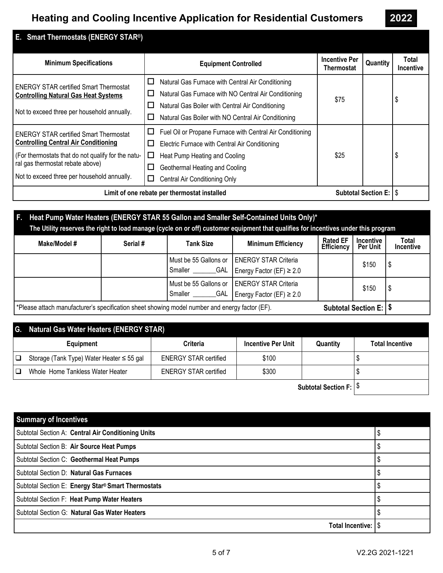| E. Smart Thermostats (ENERGY STAR <sup>®</sup> )                                                                                                                                                                                      |                                                                                                                                                                                                                                                                    |                                           |          |                           |
|---------------------------------------------------------------------------------------------------------------------------------------------------------------------------------------------------------------------------------------|--------------------------------------------------------------------------------------------------------------------------------------------------------------------------------------------------------------------------------------------------------------------|-------------------------------------------|----------|---------------------------|
| <b>Minimum Specifications</b>                                                                                                                                                                                                         | <b>Equipment Controlled</b>                                                                                                                                                                                                                                        | <b>Incentive Per</b><br><b>Thermostat</b> | Quantity | Total<br><b>Incentive</b> |
| <b>ENERGY STAR certified Smart Thermostat</b><br><b>Controlling Natural Gas Heat Systems</b><br>Not to exceed three per household annually.                                                                                           | $\Box$<br>Natural Gas Furnace with Central Air Conditioning<br>Natural Gas Furnace with NO Central Air Conditioning<br>$\mathsf{L}$<br>$\Box$<br>Natural Gas Boiler with Central Air Conditioning<br>Natural Gas Boiler with NO Central Air Conditioning<br>$\Box$ | \$75                                      |          | S                         |
| <b>ENERGY STAR certified Smart Thermostat</b><br><b>Controlling Central Air Conditioning</b><br>(For thermostats that do not qualify for the natu-<br>ral gas thermostat rebate above)<br>Not to exceed three per household annually. | □<br>Fuel Oil or Propane Furnace with Central Air Conditioning<br>$\Box$<br>Electric Furnace with Central Air Conditioning<br>Heat Pump Heating and Cooling<br>ப<br>Geothermal Heating and Cooling<br>ப<br>Central Air Conditioning Only<br>ப                      | \$25                                      |          | -5                        |
| <b>Subtotal Section E: IS</b><br>Limit of one rebate per thermostat installed                                                                                                                                                         |                                                                                                                                                                                                                                                                    |                                           |          |                           |

## **F. Heat Pump Water Heaters (ENERGY STAR 55 Gallon and Smaller Self-Contained Units Only)\* The Utility reserves the right to load manage (cycle on or off) customer equipment that qualifies for incentives under this program**

| Make/Model #                                                                                                                      | Serial # | <b>Tank Size</b> | <b>Minimum Efficiency</b>                                                            | <b>Rated EF</b><br><b>Efficiency</b> | <b>Incentive</b><br>Per Unit | <b>Total</b><br>Incentive |
|-----------------------------------------------------------------------------------------------------------------------------------|----------|------------------|--------------------------------------------------------------------------------------|--------------------------------------|------------------------------|---------------------------|
|                                                                                                                                   |          | Smaller          | Must be 55 Gallons or   ENERGY STAR Criteria<br>$_GAL$ Energy Factor (EF) $\geq 2.0$ |                                      | \$150                        |                           |
|                                                                                                                                   |          | GAL<br>Smaller   | Must be 55 Gallons or   ENERGY STAR Criteria<br>Energy Factor (EF) $\geq 2.0$        |                                      | \$150                        |                           |
| *Please attach manufacturer's specification sheet showing model number and energy factor (EF).<br><b>Subtotal Section E:   \$</b> |          |                  |                                                                                      |                                      |                              |                           |

## **G. Natural Gas Water Heaters (ENERGY STAR)**

|     | Equipment                                 | Criteria                     | <b>Incentive Per Unit</b> | Quantity | <b>Total Incentive</b> |
|-----|-------------------------------------------|------------------------------|---------------------------|----------|------------------------|
| 1 Q | Storage (Tank Type) Water Heater ≤ 55 gal | <b>ENERGY STAR certified</b> | \$100                     |          |                        |
|     | Whole Home Tankless Water Heater          | <b>ENERGY STAR certified</b> | \$300                     |          |                        |

**Subtotal Section F:** \$

| <b>Summary of Incentives</b>                       |  |
|----------------------------------------------------|--|
| Subtotal Section A: Central Air Conditioning Units |  |
| Subtotal Section B: Air Source Heat Pumps          |  |
| Subtotal Section C: Geothermal Heat Pumps          |  |
| Subtotal Section D: Natural Gas Furnaces           |  |
| Subtotal Section E: Energy Star® Smart Thermostats |  |
| Subtotal Section F: Heat Pump Water Heaters        |  |
| Subtotal Section G: Natural Gas Water Heaters      |  |
| <b>Total Incentive:  </b>                          |  |

**2022**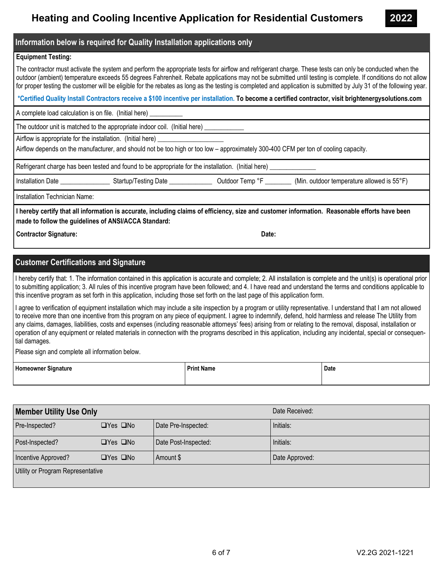**Information below is required for Quality Installation applications only**

### **Equipment Testing:**

The contractor must activate the system and perform the appropriate tests for airflow and refrigerant charge. These tests can only be conducted when the outdoor (ambient) temperature exceeds 55 degrees Fahrenheit. Rebate applications may not be submitted until testing is complete. If conditions do not allow for proper testing the customer will be eligible for the rebates as long as the testing is completed and application is submitted by July 31 of the following year.

 **\*Certified Quality Install Contractors receive a \$100 incentive per installation. To become a certified contractor, visit brightenergysolutions.com**

A complete load calculation is on file. (Initial here) \_\_\_\_\_\_\_\_\_\_

The outdoor unit is matched to the appropriate indoor coil. (Initial here) \_

Airflow is appropriate for the installation. (Initial here)

Airflow depends on the manufacturer, and should not be too high or too low – approximately 300-400 CFM per ton of cooling capacity.

Refrigerant charge has been tested and found to be appropriate for the installation. (Initial here)

Installation Date \_\_\_\_\_\_\_\_\_\_\_\_\_\_\_\_\_\_\_\_Startup/Testing Date \_\_\_\_\_\_\_\_\_\_\_\_\_\_\_\_\_\_\_\_\_ Outdoor Temp °F \_\_\_\_\_\_\_\_\_\_\_\_ (Min. outdoor temperature allowed is 55°F)

Installation Technician Name:

**I hereby certify that all information is accurate, including claims of efficiency, size and customer information. Reasonable efforts have been made to follow the guidelines of ANSI/ACCA Standard:**

**Contractor Signature:**  $\qquad \qquad$  Date:

## **Customer Certifications and Signature**

I hereby certify that: 1. The information contained in this application is accurate and complete; 2. All installation is complete and the unit(s) is operational prior to submitting application; 3. All rules of this incentive program have been followed; and 4. I have read and understand the terms and conditions applicable to this incentive program as set forth in this application, including those set forth on the last page of this application form.

I agree to verification of equipment installation which may include a site inspection by a program or utility representative. I understand that I am not allowed to receive more than one incentive from this program on any piece of equipment. I agree to indemnify, defend, hold harmless and release The Utility from any claims, damages, liabilities, costs and expenses (including reasonable attorneys' fees) arising from or relating to the removal, disposal, installation or operation of any equipment or related materials in connection with the programs described in this application, including any incidental, special or consequential damages.

Please sign and complete all information below.

| Homeowner Signature | <b>Print Name</b> | Date |
|---------------------|-------------------|------|
|                     |                   |      |

| <b>Member Utility Use Only</b>    |                      |                      | Date Received: |  |  |
|-----------------------------------|----------------------|----------------------|----------------|--|--|
| Pre-Inspected?                    | $\Box$ Yes $\Box$ No | Date Pre-Inspected:  | Initials:      |  |  |
| Post-Inspected?                   | $\Box$ Yes $\Box$ No | Date Post-Inspected: | Initials:      |  |  |
| Incentive Approved?               | $\Box$ Yes $\Box$ No | Amount \$            | Date Approved: |  |  |
| Utility or Program Representative |                      |                      |                |  |  |

**2022**